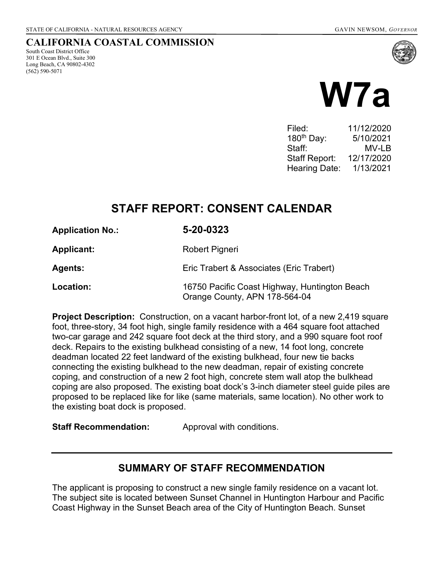South Coast District Office 301 E Ocean Blvd., Suite 300 Long Beach, CA 90802-4302

(562) 590-5071

CALIFORNIA COASTAL COMMISSION

# W7a

| Filed:                 | 11/12/2020 |
|------------------------|------------|
| 180 <sup>th</sup> Day: | 5/10/2021  |
| Staff:                 | MV-LB      |
| Staff Report:          | 12/17/2020 |
| <b>Hearing Date:</b>   | 1/13/2021  |

# STAFF REPORT: CONSENT CALENDAR

| <b>Application No.:</b> | 5-20-0323      |  |
|-------------------------|----------------|--|
| <b>Applicant:</b>       | Robert Pigneri |  |

| Eric Trabert & Associates (Eric Trabert) |
|------------------------------------------|
|                                          |

Location: 16750 Pacific Coast Highway, Huntington Beach Orange County, APN 178-564-04

**Project Description:** Construction, on a vacant harbor-front lot, of a new 2,419 square foot, three-story, 34 foot high, single family residence with a 464 square foot attached two-car garage and 242 square foot deck at the third story, and a 990 square foot roof deck. Repairs to the existing bulkhead consisting of a new, 14 foot long, concrete deadman located 22 feet landward of the existing bulkhead, four new tie backs connecting the existing bulkhead to the new deadman, repair of existing concrete coping, and construction of a new 2 foot high, concrete stem wall atop the bulkhead coping are also proposed. The existing boat dock's 3-inch diameter steel guide piles are proposed to be replaced like for like (same materials, same location). No other work to the existing boat dock is proposed.

**Staff Recommendation:** Approval with conditions.

# SUMMARY OF STAFF RECOMMENDATION

The applicant is proposing to construct a new single family residence on a vacant lot. The subject site is located between Sunset Channel in Huntington Harbour and Pacific Coast Highway in the Sunset Beach area of the City of Huntington Beach. Sunset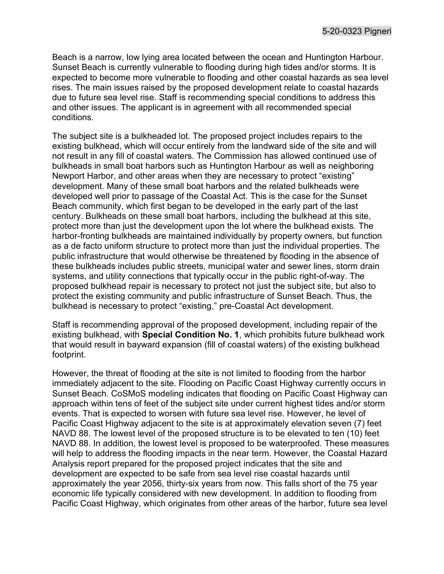Beach is a narrow, low lying area located between the ocean and Huntington Harbour. Sunset Beach is currently vulnerable to flooding during high tides and/or storms. It is expected to become more vulnerable to flooding and other coastal hazards as sea level rises. The main issues raised by the proposed development relate to coastal hazards due to future sea level rise. Staff is recommending special conditions to address this and other issues. The applicant is in agreement with all recommended special conditions.

The subject site is a bulkheaded lot. The proposed project includes repairs to the existing bulkhead, which will occur entirely from the landward side of the site and will not result in any fill of coastal waters. The Commission has allowed continued use of bulkheads in small boat harbors such as Huntington Harbour as well as neighboring Newport Harbor, and other areas when they are necessary to protect "existing" development. Many of these small boat harbors and the related bulkheads were developed well prior to passage of the Coastal Act. This is the case for the Sunset Beach community, which first began to be developed in the early part of the last century. Bulkheads on these small boat harbors, including the bulkhead at this site, protect more than just the development upon the lot where the bulkhead exists. The harbor-fronting bulkheads are maintained individually by property owners, but function as a de facto uniform structure to protect more than just the individual properties. The public infrastructure that would otherwise be threatened by flooding in the absence of these bulkheads includes public streets, municipal water and sewer lines, storm drain systems, and utility connections that typically occur in the public right-of-way. The proposed bulkhead repair is necessary to protect not just the subject site, but also to protect the existing community and public infrastructure of Sunset Beach. Thus, the bulkhead is necessary to protect "existing," pre-Coastal Act development.

Staff is recommending approval of the proposed development, including repair of the existing bulkhead, with Special Condition No. 1, which prohibits future bulkhead work that would result in bayward expansion (fill of coastal waters) of the existing bulkhead footprint.

However, the threat of flooding at the site is not limited to flooding from the harbor immediately adjacent to the site. Flooding on Pacific Coast Highway currently occurs in Sunset Beach. CoSMoS modeling indicates that flooding on Pacific Coast Highway can approach within tens of feet of the subject site under current highest tides and/or storm events. That is expected to worsen with future sea level rise. However, he level of Pacific Coast Highway adjacent to the site is at approximately elevation seven (7) feet NAVD 88. The lowest level of the proposed structure is to be elevated to ten (10) feet NAVD 88. In addition, the lowest level is proposed to be waterproofed. These measures will help to address the flooding impacts in the near term. However, the Coastal Hazard Analysis report prepared for the proposed project indicates that the site and development are expected to be safe from sea level rise coastal hazards until approximately the year 2056, thirty-six years from now. This falls short of the 75 year economic life typically considered with new development. In addition to flooding from Pacific Coast Highway, which originates from other areas of the harbor, future sea level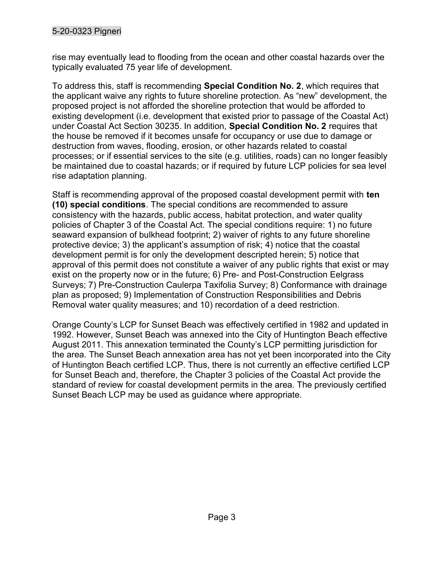# 5-20-0323 Pigneri

rise may eventually lead to flooding from the ocean and other coastal hazards over the typically evaluated 75 year life of development.

To address this, staff is recommending Special Condition No. 2, which requires that the applicant waive any rights to future shoreline protection. As "new" development, the proposed project is not afforded the shoreline protection that would be afforded to existing development (i.e. development that existed prior to passage of the Coastal Act) under Coastal Act Section 30235. In addition, Special Condition No. 2 requires that the house be removed if it becomes unsafe for occupancy or use due to damage or destruction from waves, flooding, erosion, or other hazards related to coastal processes; or if essential services to the site (e.g. utilities, roads) can no longer feasibly be maintained due to coastal hazards; or if required by future LCP policies for sea level rise adaptation planning.

Staff is recommending approval of the proposed coastal development permit with ten (10) special conditions. The special conditions are recommended to assure consistency with the hazards, public access, habitat protection, and water quality policies of Chapter 3 of the Coastal Act. The special conditions require: 1) no future seaward expansion of bulkhead footprint; 2) waiver of rights to any future shoreline protective device; 3) the applicant's assumption of risk; 4) notice that the coastal development permit is for only the development descripted herein; 5) notice that approval of this permit does not constitute a waiver of any public rights that exist or may exist on the property now or in the future; 6) Pre- and Post-Construction Eelgrass Surveys; 7) Pre-Construction Caulerpa Taxifolia Survey; 8) Conformance with drainage plan as proposed; 9) Implementation of Construction Responsibilities and Debris Removal water quality measures; and 10) recordation of a deed restriction.

Orange County's LCP for Sunset Beach was effectively certified in 1982 and updated in 1992. However, Sunset Beach was annexed into the City of Huntington Beach effective August 2011. This annexation terminated the County's LCP permitting jurisdiction for the area. The Sunset Beach annexation area has not yet been incorporated into the City of Huntington Beach certified LCP. Thus, there is not currently an effective certified LCP for Sunset Beach and, therefore, the Chapter 3 policies of the Coastal Act provide the standard of review for coastal development permits in the area. The previously certified Sunset Beach LCP may be used as guidance where appropriate.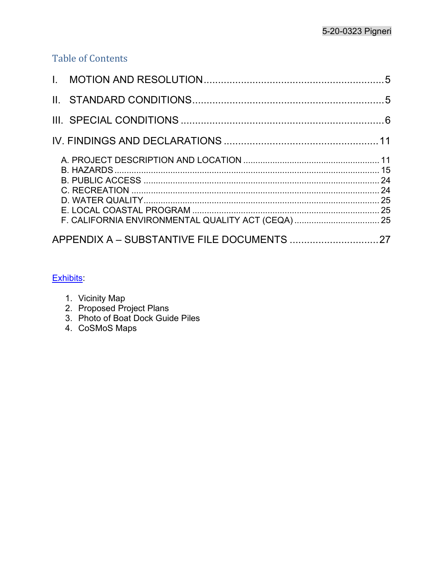# Table of Contents

| F. CALIFORNIA ENVIRONMENTAL QUALITY ACT (CEQA)  25 |  |
|----------------------------------------------------|--|
|                                                    |  |

# Exhibits:

- 1. Vicinity Map
- 2. Proposed Project Plans
- 3. Photo of Boat Dock Guide Piles
- 4. CoSMoS Maps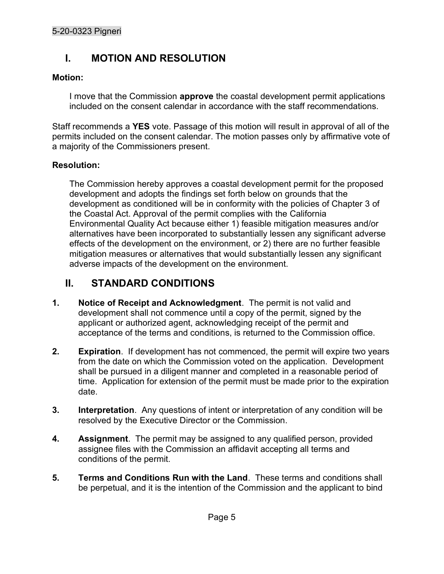# I. MOTION AND RESOLUTION

# Motion:

I move that the Commission **approve** the coastal development permit applications included on the consent calendar in accordance with the staff recommendations.

Staff recommends a YES vote. Passage of this motion will result in approval of all of the permits included on the consent calendar. The motion passes only by affirmative vote of a majority of the Commissioners present.

# Resolution:

The Commission hereby approves a coastal development permit for the proposed development and adopts the findings set forth below on grounds that the development as conditioned will be in conformity with the policies of Chapter 3 of the Coastal Act. Approval of the permit complies with the California Environmental Quality Act because either 1) feasible mitigation measures and/or alternatives have been incorporated to substantially lessen any significant adverse effects of the development on the environment, or 2) there are no further feasible mitigation measures or alternatives that would substantially lessen any significant adverse impacts of the development on the environment.

# II. STANDARD CONDITIONS

- 1. Notice of Receipt and Acknowledgment. The permit is not valid and development shall not commence until a copy of the permit, signed by the applicant or authorized agent, acknowledging receipt of the permit and acceptance of the terms and conditions, is returned to the Commission office.
- 2. Expiration. If development has not commenced, the permit will expire two years from the date on which the Commission voted on the application. Development shall be pursued in a diligent manner and completed in a reasonable period of time. Application for extension of the permit must be made prior to the expiration date.
- 3. Interpretation. Any questions of intent or interpretation of any condition will be resolved by the Executive Director or the Commission.
- 4. Assignment. The permit may be assigned to any qualified person, provided assignee files with the Commission an affidavit accepting all terms and conditions of the permit.
- 5. Terms and Conditions Run with the Land. These terms and conditions shall be perpetual, and it is the intention of the Commission and the applicant to bind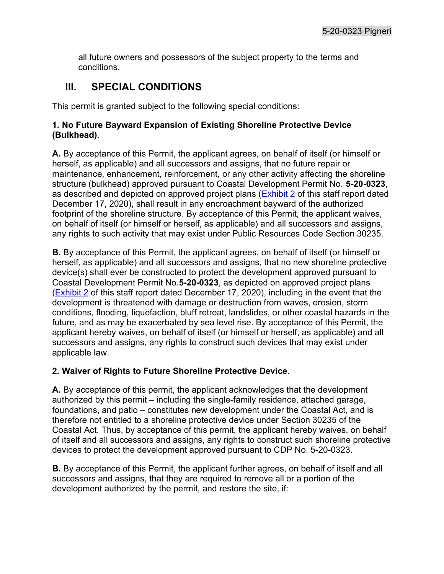all future owners and possessors of the subject property to the terms and conditions.

# III. SPECIAL CONDITIONS

This permit is granted subject to the following special conditions:

#### 1. No Future Bayward Expansion of Existing Shoreline Protective Device (Bulkhead).

A. By acceptance of this Permit, the applicant agrees, on behalf of itself (or himself or herself, as applicable) and all successors and assigns, that no future repair or maintenance, enhancement, reinforcement, or any other activity affecting the shoreline structure (bulkhead) approved pursuant to Coastal Development Permit No. 5-20-0323, as described and depicted on approved project plans (Exhibit 2 of this staff report dated December 17, 2020), shall result in any encroachment bayward of the authorized footprint of the shoreline structure. By acceptance of this Permit, the applicant waives, on behalf of itself (or himself or herself, as applicable) and all successors and assigns, any rights to such activity that may exist under Public Resources Code Section 30235.

B. By acceptance of this Permit, the applicant agrees, on behalf of itself (or himself or herself, as applicable) and all successors and assigns, that no new shoreline protective device(s) shall ever be constructed to protect the development approved pursuant to Coastal Development Permit No.5-20-0323, as depicted on approved project plans (Exhibit 2 of this staff report dated December 17, 2020), including in the event that the development is threatened with damage or destruction from waves, erosion, storm conditions, flooding, liquefaction, bluff retreat, landslides, or other coastal hazards in the future, and as may be exacerbated by sea level rise. By acceptance of this Permit, the applicant hereby waives, on behalf of itself (or himself or herself, as applicable) and all successors and assigns, any rights to construct such devices that may exist under applicable law.

# 2. Waiver of Rights to Future Shoreline Protective Device.

A. By acceptance of this permit, the applicant acknowledges that the development authorized by this permit – including the single-family residence, attached garage, foundations, and patio – constitutes new development under the Coastal Act, and is therefore not entitled to a shoreline protective device under Section 30235 of the Coastal Act. Thus, by acceptance of this permit, the applicant hereby waives, on behalf of itself and all successors and assigns, any rights to construct such shoreline protective devices to protect the development approved pursuant to CDP No. 5-20-0323.

B. By acceptance of this Permit, the applicant further agrees, on behalf of itself and all successors and assigns, that they are required to remove all or a portion of the development authorized by the permit, and restore the site, if: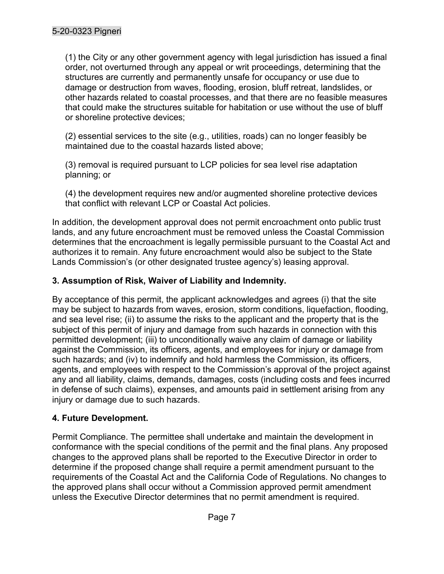(1) the City or any other government agency with legal jurisdiction has issued a final order, not overturned through any appeal or writ proceedings, determining that the structures are currently and permanently unsafe for occupancy or use due to damage or destruction from waves, flooding, erosion, bluff retreat, landslides, or other hazards related to coastal processes, and that there are no feasible measures that could make the structures suitable for habitation or use without the use of bluff or shoreline protective devices;

(2) essential services to the site (e.g., utilities, roads) can no longer feasibly be maintained due to the coastal hazards listed above;

(3) removal is required pursuant to LCP policies for sea level rise adaptation planning; or

(4) the development requires new and/or augmented shoreline protective devices that conflict with relevant LCP or Coastal Act policies.

In addition, the development approval does not permit encroachment onto public trust lands, and any future encroachment must be removed unless the Coastal Commission determines that the encroachment is legally permissible pursuant to the Coastal Act and authorizes it to remain. Any future encroachment would also be subject to the State Lands Commission's (or other designated trustee agency's) leasing approval.

# 3. Assumption of Risk, Waiver of Liability and Indemnity.

By acceptance of this permit, the applicant acknowledges and agrees (i) that the site may be subject to hazards from waves, erosion, storm conditions, liquefaction, flooding, and sea level rise; (ii) to assume the risks to the applicant and the property that is the subject of this permit of injury and damage from such hazards in connection with this permitted development; (iii) to unconditionally waive any claim of damage or liability against the Commission, its officers, agents, and employees for injury or damage from such hazards; and (iv) to indemnify and hold harmless the Commission, its officers, agents, and employees with respect to the Commission's approval of the project against any and all liability, claims, demands, damages, costs (including costs and fees incurred in defense of such claims), expenses, and amounts paid in settlement arising from any injury or damage due to such hazards.

# 4. Future Development.

Permit Compliance. The permittee shall undertake and maintain the development in conformance with the special conditions of the permit and the final plans. Any proposed changes to the approved plans shall be reported to the Executive Director in order to determine if the proposed change shall require a permit amendment pursuant to the requirements of the Coastal Act and the California Code of Regulations. No changes to the approved plans shall occur without a Commission approved permit amendment unless the Executive Director determines that no permit amendment is required.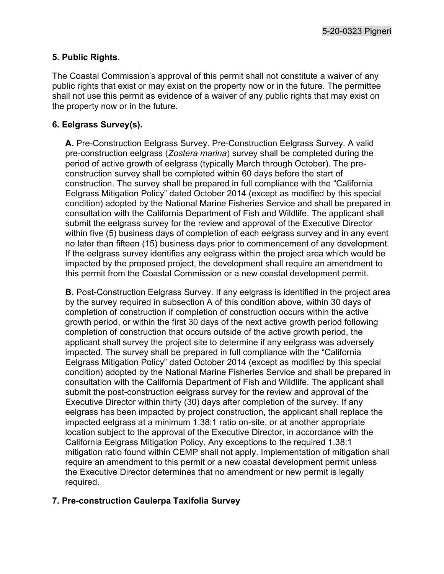5-20-0323 Pigneri

#### 5. Public Rights.

The Coastal Commission's approval of this permit shall not constitute a waiver of any public rights that exist or may exist on the property now or in the future. The permittee shall not use this permit as evidence of a waiver of any public rights that may exist on the property now or in the future.

#### 6. Eelgrass Survey(s).

A. Pre-Construction Eelgrass Survey. Pre-Construction Eelgrass Survey. A valid pre-construction eelgrass (Zostera marina) survey shall be completed during the period of active growth of eelgrass (typically March through October). The preconstruction survey shall be completed within 60 days before the start of construction. The survey shall be prepared in full compliance with the "California Eelgrass Mitigation Policy" dated October 2014 (except as modified by this special condition) adopted by the National Marine Fisheries Service and shall be prepared in consultation with the California Department of Fish and Wildlife. The applicant shall submit the eelgrass survey for the review and approval of the Executive Director within five (5) business days of completion of each eelgrass survey and in any event no later than fifteen (15) business days prior to commencement of any development. If the eelgrass survey identifies any eelgrass within the project area which would be impacted by the proposed project, the development shall require an amendment to this permit from the Coastal Commission or a new coastal development permit.

B. Post-Construction Eelgrass Survey. If any eelgrass is identified in the project area by the survey required in subsection A of this condition above, within 30 days of completion of construction if completion of construction occurs within the active growth period, or within the first 30 days of the next active growth period following completion of construction that occurs outside of the active growth period, the applicant shall survey the project site to determine if any eelgrass was adversely impacted. The survey shall be prepared in full compliance with the "California Eelgrass Mitigation Policy" dated October 2014 (except as modified by this special condition) adopted by the National Marine Fisheries Service and shall be prepared in consultation with the California Department of Fish and Wildlife. The applicant shall submit the post-construction eelgrass survey for the review and approval of the Executive Director within thirty (30) days after completion of the survey. If any eelgrass has been impacted by project construction, the applicant shall replace the impacted eelgrass at a minimum 1.38:1 ratio on-site, or at another appropriate location subject to the approval of the Executive Director, in accordance with the California Eelgrass Mitigation Policy. Any exceptions to the required 1.38:1 mitigation ratio found within CEMP shall not apply. Implementation of mitigation shall require an amendment to this permit or a new coastal development permit unless the Executive Director determines that no amendment or new permit is legally required.

#### 7. Pre-construction Caulerpa Taxifolia Survey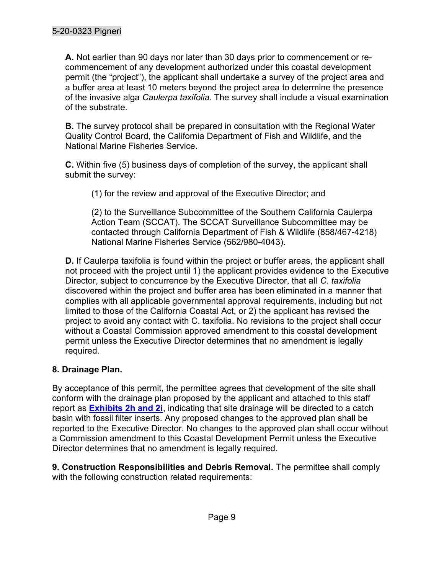A. Not earlier than 90 days nor later than 30 days prior to commencement or recommencement of any development authorized under this coastal development permit (the "project"), the applicant shall undertake a survey of the project area and a buffer area at least 10 meters beyond the project area to determine the presence of the invasive alga Caulerpa taxifolia. The survey shall include a visual examination of the substrate.

**B.** The survey protocol shall be prepared in consultation with the Regional Water Quality Control Board, the California Department of Fish and Wildlife, and the National Marine Fisheries Service.

C. Within five (5) business days of completion of the survey, the applicant shall submit the survey:

(1) for the review and approval of the Executive Director; and

(2) to the Surveillance Subcommittee of the Southern California Caulerpa Action Team (SCCAT). The SCCAT Surveillance Subcommittee may be contacted through California Department of Fish & Wildlife (858/467-4218) National Marine Fisheries Service (562/980-4043).

D. If Caulerpa taxifolia is found within the project or buffer areas, the applicant shall not proceed with the project until 1) the applicant provides evidence to the Executive Director, subject to concurrence by the Executive Director, that all C. taxifolia discovered within the project and buffer area has been eliminated in a manner that complies with all applicable governmental approval requirements, including but not limited to those of the California Coastal Act, or 2) the applicant has revised the project to avoid any contact with C. taxifolia. No revisions to the project shall occur without a Coastal Commission approved amendment to this coastal development permit unless the Executive Director determines that no amendment is legally required.

# 8. Drainage Plan.

By acceptance of this permit, the permittee agrees that development of the site shall conform with the drainage plan proposed by the applicant and attached to this staff report as **Exhibits 2h and 2i**, indicating that site drainage will be directed to a catch basin with fossil filter inserts. Any proposed changes to the approved plan shall be reported to the Executive Director. No changes to the approved plan shall occur without a Commission amendment to this Coastal Development Permit unless the Executive Director determines that no amendment is legally required.

9. Construction Responsibilities and Debris Removal. The permittee shall comply with the following construction related requirements: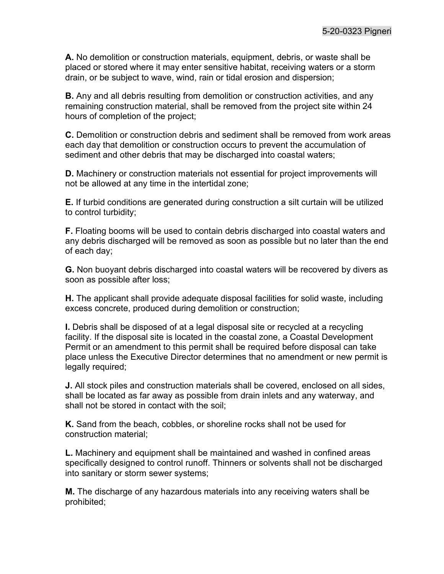A. No demolition or construction materials, equipment, debris, or waste shall be placed or stored where it may enter sensitive habitat, receiving waters or a storm drain, or be subject to wave, wind, rain or tidal erosion and dispersion;

B. Any and all debris resulting from demolition or construction activities, and any remaining construction material, shall be removed from the project site within 24 hours of completion of the project;

C. Demolition or construction debris and sediment shall be removed from work areas each day that demolition or construction occurs to prevent the accumulation of sediment and other debris that may be discharged into coastal waters;

D. Machinery or construction materials not essential for project improvements will not be allowed at any time in the intertidal zone;

E. If turbid conditions are generated during construction a silt curtain will be utilized to control turbidity;

F. Floating booms will be used to contain debris discharged into coastal waters and any debris discharged will be removed as soon as possible but no later than the end of each day;

G. Non buoyant debris discharged into coastal waters will be recovered by divers as soon as possible after loss;

H. The applicant shall provide adequate disposal facilities for solid waste, including excess concrete, produced during demolition or construction;

I. Debris shall be disposed of at a legal disposal site or recycled at a recycling facility. If the disposal site is located in the coastal zone, a Coastal Development Permit or an amendment to this permit shall be required before disposal can take place unless the Executive Director determines that no amendment or new permit is legally required;

J. All stock piles and construction materials shall be covered, enclosed on all sides, shall be located as far away as possible from drain inlets and any waterway, and shall not be stored in contact with the soil;

K. Sand from the beach, cobbles, or shoreline rocks shall not be used for construction material;

L. Machinery and equipment shall be maintained and washed in confined areas specifically designed to control runoff. Thinners or solvents shall not be discharged into sanitary or storm sewer systems;

M. The discharge of any hazardous materials into any receiving waters shall be prohibited;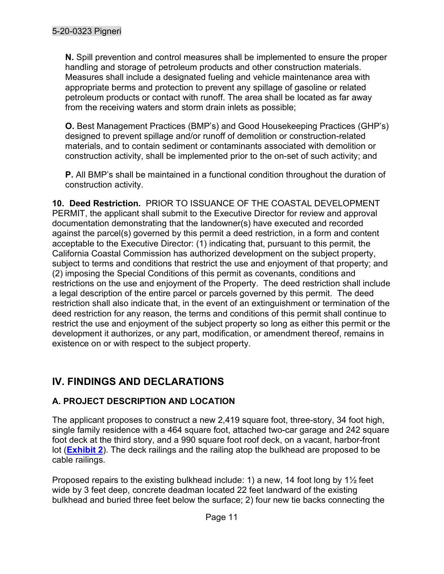N. Spill prevention and control measures shall be implemented to ensure the proper handling and storage of petroleum products and other construction materials. Measures shall include a designated fueling and vehicle maintenance area with appropriate berms and protection to prevent any spillage of gasoline or related petroleum products or contact with runoff. The area shall be located as far away from the receiving waters and storm drain inlets as possible;

O. Best Management Practices (BMP's) and Good Housekeeping Practices (GHP's) designed to prevent spillage and/or runoff of demolition or construction-related materials, and to contain sediment or contaminants associated with demolition or construction activity, shall be implemented prior to the on-set of such activity; and

P. All BMP's shall be maintained in a functional condition throughout the duration of construction activity.

10. Deed Restriction. PRIOR TO ISSUANCE OF THE COASTAL DEVELOPMENT PERMIT, the applicant shall submit to the Executive Director for review and approval documentation demonstrating that the landowner(s) have executed and recorded against the parcel(s) governed by this permit a deed restriction, in a form and content acceptable to the Executive Director: (1) indicating that, pursuant to this permit, the California Coastal Commission has authorized development on the subject property, subject to terms and conditions that restrict the use and enjoyment of that property; and (2) imposing the Special Conditions of this permit as covenants, conditions and restrictions on the use and enjoyment of the Property. The deed restriction shall include a legal description of the entire parcel or parcels governed by this permit. The deed restriction shall also indicate that, in the event of an extinguishment or termination of the deed restriction for any reason, the terms and conditions of this permit shall continue to restrict the use and enjoyment of the subject property so long as either this permit or the development it authorizes, or any part, modification, or amendment thereof, remains in existence on or with respect to the subject property.

# IV. FINDINGS AND DECLARATIONS

# A. PROJECT DESCRIPTION AND LOCATION

The applicant proposes to construct a new 2,419 square foot, three-story, 34 foot high, single family residence with a 464 square foot, attached two-car garage and 242 square foot deck at the third story, and a 990 square foot roof deck, on a vacant, harbor-front lot (**Exhibit 2**). The deck railings and the railing atop the bulkhead are proposed to be cable railings.

Proposed repairs to the existing bulkhead include: 1) a new, 14 foot long by  $1\frac{1}{2}$  feet wide by 3 feet deep, concrete deadman located 22 feet landward of the existing bulkhead and buried three feet below the surface; 2) four new tie backs connecting the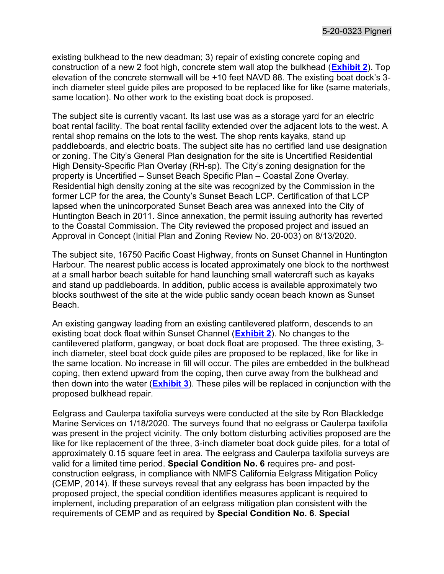existing bulkhead to the new deadman; 3) repair of existing concrete coping and construction of a new 2 foot high, concrete stem wall atop the bulkhead (**Exhibit 2**). Top elevation of the concrete stemwall will be +10 feet NAVD 88. The existing boat dock's 3 inch diameter steel guide piles are proposed to be replaced like for like (same materials, same location). No other work to the existing boat dock is proposed.

The subject site is currently vacant. Its last use was as a storage yard for an electric boat rental facility. The boat rental facility extended over the adjacent lots to the west. A rental shop remains on the lots to the west. The shop rents kayaks, stand up paddleboards, and electric boats. The subject site has no certified land use designation or zoning. The City's General Plan designation for the site is Uncertified Residential High Density-Specific Plan Overlay (RH-sp). The City's zoning designation for the property is Uncertified – Sunset Beach Specific Plan – Coastal Zone Overlay. Residential high density zoning at the site was recognized by the Commission in the former LCP for the area, the County's Sunset Beach LCP. Certification of that LCP lapsed when the unincorporated Sunset Beach area was annexed into the City of Huntington Beach in 2011. Since annexation, the permit issuing authority has reverted to the Coastal Commission. The City reviewed the proposed project and issued an Approval in Concept (Initial Plan and Zoning Review No. 20-003) on 8/13/2020.

The subject site, 16750 Pacific Coast Highway, fronts on Sunset Channel in Huntington Harbour. The nearest public access is located approximately one block to the northwest at a small harbor beach suitable for hand launching small watercraft such as kayaks and stand up paddleboards. In addition, public access is available approximately two blocks southwest of the site at the wide public sandy ocean beach known as Sunset Beach.

An existing gangway leading from an existing cantilevered platform, descends to an existing boat dock float within Sunset Channel (**Exhibit 2**). No changes to the cantilevered platform, gangway, or boat dock float are proposed. The three existing, 3 inch diameter, steel boat dock guide piles are proposed to be replaced, like for like in the same location. No increase in fill will occur. The piles are embedded in the bulkhead coping, then extend upward from the coping, then curve away from the bulkhead and then down into the water (**Exhibit 3**). These piles will be replaced in conjunction with the proposed bulkhead repair.

Eelgrass and Caulerpa taxifolia surveys were conducted at the site by Ron Blackledge Marine Services on 1/18/2020. The surveys found that no eelgrass or Caulerpa taxifolia was present in the project vicinity. The only bottom disturbing activities proposed are the like for like replacement of the three, 3-inch diameter boat dock guide piles, for a total of approximately 0.15 square feet in area. The eelgrass and Caulerpa taxifolia surveys are valid for a limited time period. Special Condition No. 6 requires pre- and postconstruction eelgrass, in compliance with NMFS California Eelgrass Mitigation Policy (CEMP, 2014). If these surveys reveal that any eelgrass has been impacted by the proposed project, the special condition identifies measures applicant is required to implement, including preparation of an eelgrass mitigation plan consistent with the requirements of CEMP and as required by Special Condition No. 6. Special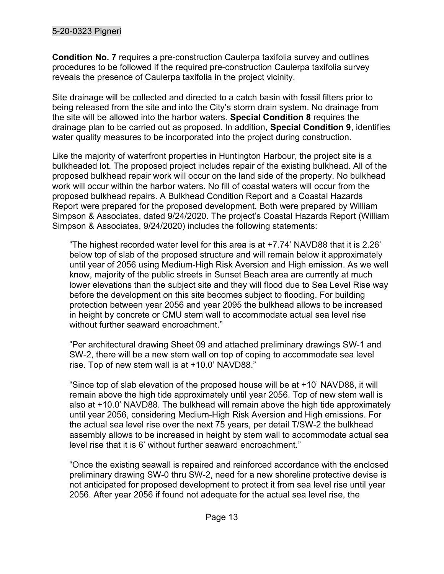# 5-20-0323 Pigneri

Condition No. 7 requires a pre-construction Caulerpa taxifolia survey and outlines procedures to be followed if the required pre-construction Caulerpa taxifolia survey reveals the presence of Caulerpa taxifolia in the project vicinity.

Site drainage will be collected and directed to a catch basin with fossil filters prior to being released from the site and into the City's storm drain system. No drainage from the site will be allowed into the harbor waters. Special Condition 8 requires the drainage plan to be carried out as proposed. In addition, Special Condition 9, identifies water quality measures to be incorporated into the project during construction.

Like the majority of waterfront properties in Huntington Harbour, the project site is a bulkheaded lot. The proposed project includes repair of the existing bulkhead. All of the proposed bulkhead repair work will occur on the land side of the property. No bulkhead work will occur within the harbor waters. No fill of coastal waters will occur from the proposed bulkhead repairs. A Bulkhead Condition Report and a Coastal Hazards Report were prepared for the proposed development. Both were prepared by William Simpson & Associates, dated 9/24/2020. The project's Coastal Hazards Report (William Simpson & Associates, 9/24/2020) includes the following statements:

"The highest recorded water level for this area is at +7.74' NAVD88 that it is 2.26' below top of slab of the proposed structure and will remain below it approximately until year of 2056 using Medium-High Risk Aversion and High emission. As we well know, majority of the public streets in Sunset Beach area are currently at much lower elevations than the subject site and they will flood due to Sea Level Rise way before the development on this site becomes subject to flooding. For building protection between year 2056 and year 2095 the bulkhead allows to be increased in height by concrete or CMU stem wall to accommodate actual sea level rise without further seaward encroachment."

"Per architectural drawing Sheet 09 and attached preliminary drawings SW-1 and SW-2, there will be a new stem wall on top of coping to accommodate sea level rise. Top of new stem wall is at +10.0' NAVD88."

"Since top of slab elevation of the proposed house will be at +10' NAVD88, it will remain above the high tide approximately until year 2056. Top of new stem wall is also at +10.0' NAVD88. The bulkhead will remain above the high tide approximately until year 2056, considering Medium-High Risk Aversion and High emissions. For the actual sea level rise over the next 75 years, per detail T/SW-2 the bulkhead assembly allows to be increased in height by stem wall to accommodate actual sea level rise that it is 6' without further seaward encroachment."

"Once the existing seawall is repaired and reinforced accordance with the enclosed preliminary drawing SW-0 thru SW-2, need for a new shoreline protective devise is not anticipated for proposed development to protect it from sea level rise until year 2056. After year 2056 if found not adequate for the actual sea level rise, the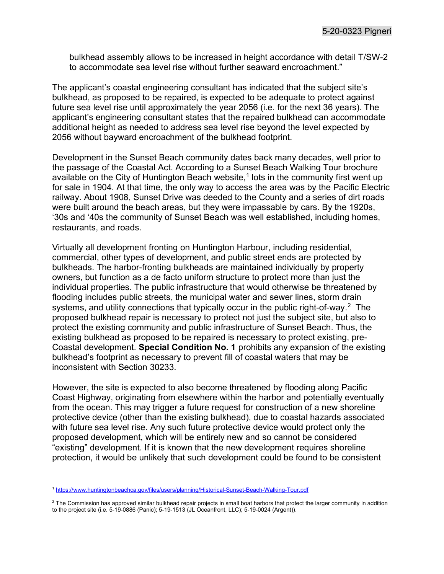bulkhead assembly allows to be increased in height accordance with detail T/SW-2 to accommodate sea level rise without further seaward encroachment."

The applicant's coastal engineering consultant has indicated that the subject site's bulkhead, as proposed to be repaired, is expected to be adequate to protect against future sea level rise until approximately the year 2056 (i.e. for the next 36 years). The applicant's engineering consultant states that the repaired bulkhead can accommodate additional height as needed to address sea level rise beyond the level expected by 2056 without bayward encroachment of the bulkhead footprint.

Development in the Sunset Beach community dates back many decades, well prior to the passage of the Coastal Act. According to a Sunset Beach Walking Tour brochure available on the City of Huntington Beach website, $^\text{1}$  lots in the community first went up for sale in 1904. At that time, the only way to access the area was by the Pacific Electric railway. About 1908, Sunset Drive was deeded to the County and a series of dirt roads were built around the beach areas, but they were impassable by cars. By the 1920s, '30s and '40s the community of Sunset Beach was well established, including homes, restaurants, and roads.

Virtually all development fronting on Huntington Harbour, including residential, commercial, other types of development, and public street ends are protected by bulkheads. The harbor-fronting bulkheads are maintained individually by property owners, but function as a de facto uniform structure to protect more than just the individual properties. The public infrastructure that would otherwise be threatened by flooding includes public streets, the municipal water and sewer lines, storm drain systems, and utility connections that typically occur in the public right-of-way.<sup>2</sup> The proposed bulkhead repair is necessary to protect not just the subject site, but also to protect the existing community and public infrastructure of Sunset Beach. Thus, the existing bulkhead as proposed to be repaired is necessary to protect existing, pre-Coastal development. Special Condition No. 1 prohibits any expansion of the existing bulkhead's footprint as necessary to prevent fill of coastal waters that may be inconsistent with Section 30233.

However, the site is expected to also become threatened by flooding along Pacific Coast Highway, originating from elsewhere within the harbor and potentially eventually from the ocean. This may trigger a future request for construction of a new shoreline protective device (other than the existing bulkhead), due to coastal hazards associated with future sea level rise. Any such future protective device would protect only the proposed development, which will be entirely new and so cannot be considered "existing" development. If it is known that the new development requires shoreline protection, it would be unlikely that such development could be found to be consistent

<sup>1</sup> https://www.huntingtonbeachca.gov/files/users/planning/Historical-Sunset-Beach-Walking-Tour.pdf

 $^2$  The Commission has approved similar bulkhead repair projects in small boat harbors that protect the larger community in addition to the project site (i.e. 5-19-0886 (Panic); 5-19-1513 (JL Oceanfront, LLC); 5-19-0024 (Argent)).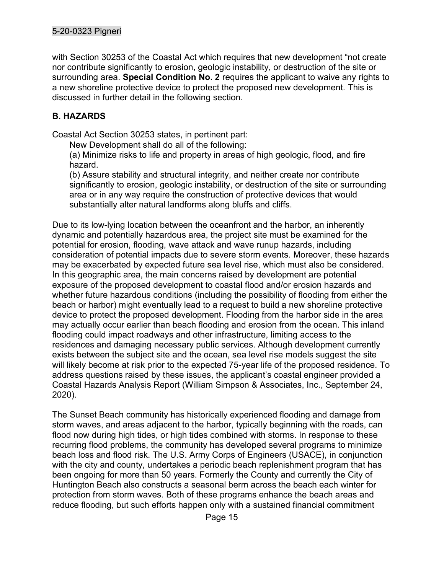### 5-20-0323 Pigneri

with Section 30253 of the Coastal Act which requires that new development "not create nor contribute significantly to erosion, geologic instability, or destruction of the site or surrounding area. Special Condition No. 2 requires the applicant to waive any rights to a new shoreline protective device to protect the proposed new development. This is discussed in further detail in the following section.

# B. HAZARDS

Coastal Act Section 30253 states, in pertinent part:

New Development shall do all of the following:

(a) Minimize risks to life and property in areas of high geologic, flood, and fire hazard.

(b) Assure stability and structural integrity, and neither create nor contribute significantly to erosion, geologic instability, or destruction of the site or surrounding area or in any way require the construction of protective devices that would substantially alter natural landforms along bluffs and cliffs.

Due to its low-lying location between the oceanfront and the harbor, an inherently dynamic and potentially hazardous area, the project site must be examined for the potential for erosion, flooding, wave attack and wave runup hazards, including consideration of potential impacts due to severe storm events. Moreover, these hazards may be exacerbated by expected future sea level rise, which must also be considered. In this geographic area, the main concerns raised by development are potential exposure of the proposed development to coastal flood and/or erosion hazards and whether future hazardous conditions (including the possibility of flooding from either the beach or harbor) might eventually lead to a request to build a new shoreline protective device to protect the proposed development. Flooding from the harbor side in the area may actually occur earlier than beach flooding and erosion from the ocean. This inland flooding could impact roadways and other infrastructure, limiting access to the residences and damaging necessary public services. Although development currently exists between the subject site and the ocean, sea level rise models suggest the site will likely become at risk prior to the expected 75-year life of the proposed residence. To address questions raised by these issues, the applicant's coastal engineer provided a Coastal Hazards Analysis Report (William Simpson & Associates, Inc., September 24, 2020).

The Sunset Beach community has historically experienced flooding and damage from storm waves, and areas adjacent to the harbor, typically beginning with the roads, can flood now during high tides, or high tides combined with storms. In response to these recurring flood problems, the community has developed several programs to minimize beach loss and flood risk. The U.S. Army Corps of Engineers (USACE), in conjunction with the city and county, undertakes a periodic beach replenishment program that has been ongoing for more than 50 years. Formerly the County and currently the City of Huntington Beach also constructs a seasonal berm across the beach each winter for protection from storm waves. Both of these programs enhance the beach areas and reduce flooding, but such efforts happen only with a sustained financial commitment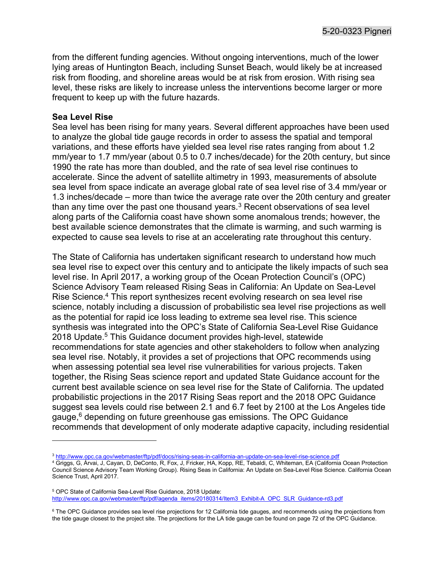from the different funding agencies. Without ongoing interventions, much of the lower lying areas of Huntington Beach, including Sunset Beach, would likely be at increased risk from flooding, and shoreline areas would be at risk from erosion. With rising sea level, these risks are likely to increase unless the interventions become larger or more frequent to keep up with the future hazards.

#### Sea Level Rise

Sea level has been rising for many years. Several different approaches have been used to analyze the global tide gauge records in order to assess the spatial and temporal variations, and these efforts have yielded sea level rise rates ranging from about 1.2 mm/year to 1.7 mm/year (about 0.5 to 0.7 inches/decade) for the 20th century, but since 1990 the rate has more than doubled, and the rate of sea level rise continues to accelerate. Since the advent of satellite altimetry in 1993, measurements of absolute sea level from space indicate an average global rate of sea level rise of 3.4 mm/year or 1.3 inches/decade – more than twice the average rate over the 20th century and greater than any time over the past one thousand years. $^3$  Recent observations of sea level along parts of the California coast have shown some anomalous trends; however, the best available science demonstrates that the climate is warming, and such warming is expected to cause sea levels to rise at an accelerating rate throughout this century.

The State of California has undertaken significant research to understand how much sea level rise to expect over this century and to anticipate the likely impacts of such sea level rise. In April 2017, a working group of the Ocean Protection Council's (OPC) Science Advisory Team released Rising Seas in California: An Update on Sea-Level Rise Science.<sup>4</sup> This report synthesizes recent evolving research on sea level rise science, notably including a discussion of probabilistic sea level rise projections as well as the potential for rapid ice loss leading to extreme sea level rise. This science synthesis was integrated into the OPC's State of California Sea-Level Rise Guidance 2018 Update.<sup>5</sup> This Guidance document provides high-level, statewide recommendations for state agencies and other stakeholders to follow when analyzing sea level rise. Notably, it provides a set of projections that OPC recommends using when assessing potential sea level rise vulnerabilities for various projects. Taken together, the Rising Seas science report and updated State Guidance account for the current best available science on sea level rise for the State of California. The updated probabilistic projections in the 2017 Rising Seas report and the 2018 OPC Guidance suggest sea levels could rise between 2.1 and 6.7 feet by 2100 at the Los Angeles tide gauge, $^6$  depending on future greenhouse gas emissions. The OPC Guidance recommends that development of only moderate adaptive capacity, including residential

<sup>&</sup>lt;sup>3</sup> <u>http://www.opc.ca.gov/webmaster/ftp/pdf/docs/rising-seas-in-california-an-update-on-sea-level-rise-science.pdf<br><sup>4</sup> Griggs, G, Árvai, J, Cayan, D, DeConto, R, Fox, J, Fricker, HA, Kopp, RE, Tebaldi, C, Whiteman, EA (Ca</u>

Council Science Advisory Team Working Group). Rising Seas in California: An Update on Sea-Level Rise Science. California Ocean Science Trust, April 2017.

<sup>5</sup> OPC State of California Sea-Level Rise Guidance, 2018 Update: http://www.opc.ca.gov/webmaster/ftp/pdf/agenda\_items/20180314/Item3\_Exhibit-A\_OPC\_SLR\_Guidance-rd3.pdf

<sup>6</sup> The OPC Guidance provides sea level rise projections for 12 California tide gauges, and recommends using the projections from the tide gauge closest to the project site. The projections for the LA tide gauge can be found on page 72 of the OPC Guidance.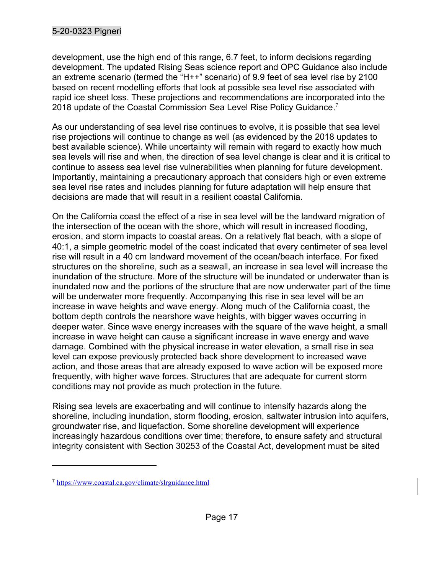# 5-20-0323 Pigneri

development, use the high end of this range, 6.7 feet, to inform decisions regarding development. The updated Rising Seas science report and OPC Guidance also include an extreme scenario (termed the "H++" scenario) of 9.9 feet of sea level rise by 2100 based on recent modelling efforts that look at possible sea level rise associated with rapid ice sheet loss. These projections and recommendations are incorporated into the 2018 update of the Coastal Commission Sea Level Rise Policy Guidance. $^7$ 

As our understanding of sea level rise continues to evolve, it is possible that sea level rise projections will continue to change as well (as evidenced by the 2018 updates to best available science). While uncertainty will remain with regard to exactly how much sea levels will rise and when, the direction of sea level change is clear and it is critical to continue to assess sea level rise vulnerabilities when planning for future development. Importantly, maintaining a precautionary approach that considers high or even extreme sea level rise rates and includes planning for future adaptation will help ensure that decisions are made that will result in a resilient coastal California.

On the California coast the effect of a rise in sea level will be the landward migration of the intersection of the ocean with the shore, which will result in increased flooding, erosion, and storm impacts to coastal areas. On a relatively flat beach, with a slope of 40:1, a simple geometric model of the coast indicated that every centimeter of sea level rise will result in a 40 cm landward movement of the ocean/beach interface. For fixed structures on the shoreline, such as a seawall, an increase in sea level will increase the inundation of the structure. More of the structure will be inundated or underwater than is inundated now and the portions of the structure that are now underwater part of the time will be underwater more frequently. Accompanying this rise in sea level will be an increase in wave heights and wave energy. Along much of the California coast, the bottom depth controls the nearshore wave heights, with bigger waves occurring in deeper water. Since wave energy increases with the square of the wave height, a small increase in wave height can cause a significant increase in wave energy and wave damage. Combined with the physical increase in water elevation, a small rise in sea level can expose previously protected back shore development to increased wave action, and those areas that are already exposed to wave action will be exposed more frequently, with higher wave forces. Structures that are adequate for current storm conditions may not provide as much protection in the future.

Rising sea levels are exacerbating and will continue to intensify hazards along the shoreline, including inundation, storm flooding, erosion, saltwater intrusion into aquifers, groundwater rise, and liquefaction. Some shoreline development will experience increasingly hazardous conditions over time; therefore, to ensure safety and structural integrity consistent with Section 30253 of the Coastal Act, development must be sited

<sup>7</sup> https://www.coastal.ca.gov/climate/slrguidance.html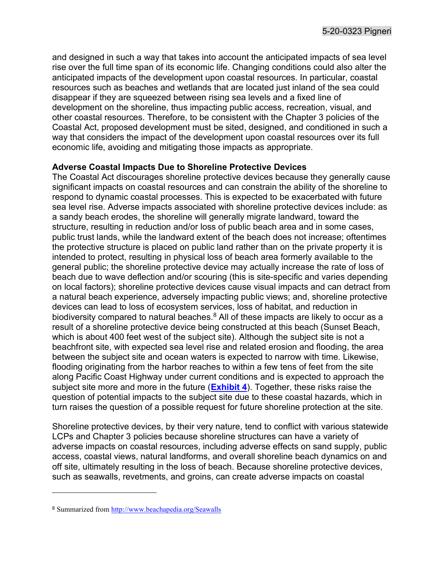and designed in such a way that takes into account the anticipated impacts of sea level rise over the full time span of its economic life. Changing conditions could also alter the anticipated impacts of the development upon coastal resources. In particular, coastal resources such as beaches and wetlands that are located just inland of the sea could disappear if they are squeezed between rising sea levels and a fixed line of development on the shoreline, thus impacting public access, recreation, visual, and other coastal resources. Therefore, to be consistent with the Chapter 3 policies of the Coastal Act, proposed development must be sited, designed, and conditioned in such a way that considers the impact of the development upon coastal resources over its full economic life, avoiding and mitigating those impacts as appropriate.

#### Adverse Coastal Impacts Due to Shoreline Protective Devices

The Coastal Act discourages shoreline protective devices because they generally cause significant impacts on coastal resources and can constrain the ability of the shoreline to respond to dynamic coastal processes. This is expected to be exacerbated with future sea level rise. Adverse impacts associated with shoreline protective devices include: as a sandy beach erodes, the shoreline will generally migrate landward, toward the structure, resulting in reduction and/or loss of public beach area and in some cases, public trust lands, while the landward extent of the beach does not increase; oftentimes the protective structure is placed on public land rather than on the private property it is intended to protect, resulting in physical loss of beach area formerly available to the general public; the shoreline protective device may actually increase the rate of loss of beach due to wave deflection and/or scouring (this is site-specific and varies depending on local factors); shoreline protective devices cause visual impacts and can detract from a natural beach experience, adversely impacting public views; and, shoreline protective devices can lead to loss of ecosystem services, loss of habitat, and reduction in biodiversity compared to natural beaches.<sup>8</sup> All of these impacts are likely to occur as a result of a shoreline protective device being constructed at this beach (Sunset Beach, which is about 400 feet west of the subject site). Although the subject site is not a beachfront site, with expected sea level rise and related erosion and flooding, the area between the subject site and ocean waters is expected to narrow with time. Likewise, flooding originating from the harbor reaches to within a few tens of feet from the site along Pacific Coast Highway under current conditions and is expected to approach the subject site more and more in the future (**Exhibit 4**). Together, these risks raise the question of potential impacts to the subject site due to these coastal hazards, which in turn raises the question of a possible request for future shoreline protection at the site.

Shoreline protective devices, by their very nature, tend to conflict with various statewide LCPs and Chapter 3 policies because shoreline structures can have a variety of adverse impacts on coastal resources, including adverse effects on sand supply, public access, coastal views, natural landforms, and overall shoreline beach dynamics on and off site, ultimately resulting in the loss of beach. Because shoreline protective devices, such as seawalls, revetments, and groins, can create adverse impacts on coastal

<sup>8</sup> Summarized from http://www.beachapedia.org/Seawalls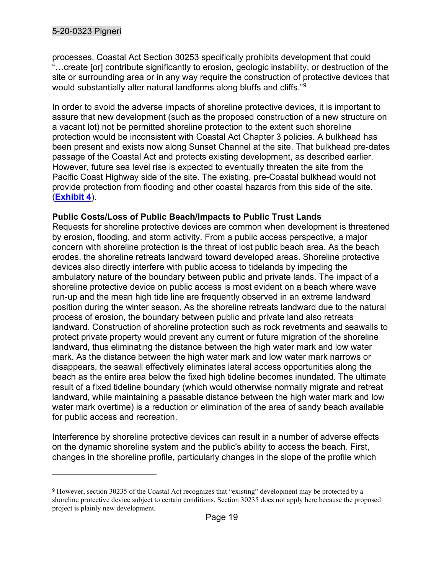processes, Coastal Act Section 30253 specifically prohibits development that could ... create [or] contribute significantly to erosion, geologic instability, or destruction of the site or surrounding area or in any way require the construction of protective devices that would substantially alter natural landforms along bluffs and cliffs."<sup>9</sup>

In order to avoid the adverse impacts of shoreline protective devices, it is important to assure that new development (such as the proposed construction of a new structure on a vacant lot) not be permitted shoreline protection to the extent such shoreline protection would be inconsistent with Coastal Act Chapter 3 policies. A bulkhead has been present and exists now along Sunset Channel at the site. That bulkhead pre-dates passage of the Coastal Act and protects existing development, as described earlier. However, future sea level rise is expected to eventually threaten the site from the Pacific Coast Highway side of the site. The existing, pre-Coastal bulkhead would not provide protection from flooding and other coastal hazards from this side of the site. (Exhibit 4).

# Public Costs/Loss of Public Beach/Impacts to Public Trust Lands

Requests for shoreline protective devices are common when development is threatened by erosion, flooding, and storm activity. From a public access perspective, a major concern with shoreline protection is the threat of lost public beach area. As the beach erodes, the shoreline retreats landward toward developed areas. Shoreline protective devices also directly interfere with public access to tidelands by impeding the ambulatory nature of the boundary between public and private lands. The impact of a shoreline protective device on public access is most evident on a beach where wave run-up and the mean high tide line are frequently observed in an extreme landward position during the winter season. As the shoreline retreats landward due to the natural process of erosion, the boundary between public and private land also retreats landward. Construction of shoreline protection such as rock revetments and seawalls to protect private property would prevent any current or future migration of the shoreline landward, thus eliminating the distance between the high water mark and low water mark. As the distance between the high water mark and low water mark narrows or disappears, the seawall effectively eliminates lateral access opportunities along the beach as the entire area below the fixed high tideline becomes inundated. The ultimate result of a fixed tideline boundary (which would otherwise normally migrate and retreat landward, while maintaining a passable distance between the high water mark and low water mark overtime) is a reduction or elimination of the area of sandy beach available for public access and recreation.

Interference by shoreline protective devices can result in a number of adverse effects on the dynamic shoreline system and the public's ability to access the beach. First, changes in the shoreline profile, particularly changes in the slope of the profile which

<sup>&</sup>lt;sup>9</sup> However, section 30235 of the Coastal Act recognizes that "existing" development may be protected by a shoreline protective device subject to certain conditions. Section 30235 does not apply here because the proposed project is plainly new development.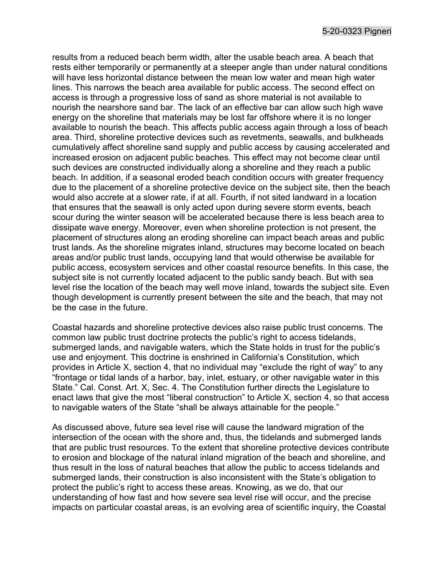results from a reduced beach berm width, alter the usable beach area. A beach that rests either temporarily or permanently at a steeper angle than under natural conditions will have less horizontal distance between the mean low water and mean high water lines. This narrows the beach area available for public access. The second effect on access is through a progressive loss of sand as shore material is not available to nourish the nearshore sand bar. The lack of an effective bar can allow such high wave energy on the shoreline that materials may be lost far offshore where it is no longer available to nourish the beach. This affects public access again through a loss of beach area. Third, shoreline protective devices such as revetments, seawalls, and bulkheads cumulatively affect shoreline sand supply and public access by causing accelerated and increased erosion on adjacent public beaches. This effect may not become clear until such devices are constructed individually along a shoreline and they reach a public beach. In addition, if a seasonal eroded beach condition occurs with greater frequency due to the placement of a shoreline protective device on the subject site, then the beach would also accrete at a slower rate, if at all. Fourth, if not sited landward in a location that ensures that the seawall is only acted upon during severe storm events, beach scour during the winter season will be accelerated because there is less beach area to dissipate wave energy. Moreover, even when shoreline protection is not present, the placement of structures along an eroding shoreline can impact beach areas and public trust lands. As the shoreline migrates inland, structures may become located on beach areas and/or public trust lands, occupying land that would otherwise be available for public access, ecosystem services and other coastal resource benefits. In this case, the subject site is not currently located adjacent to the public sandy beach. But with sea level rise the location of the beach may well move inland, towards the subject site. Even though development is currently present between the site and the beach, that may not be the case in the future.

Coastal hazards and shoreline protective devices also raise public trust concerns. The common law public trust doctrine protects the public's right to access tidelands, submerged lands, and navigable waters, which the State holds in trust for the public's use and enjoyment. This doctrine is enshrined in California's Constitution, which provides in Article X, section 4, that no individual may "exclude the right of way" to any "frontage or tidal lands of a harbor, bay, inlet, estuary, or other navigable water in this State." Cal. Const. Art. X, Sec. 4. The Constitution further directs the Legislature to enact laws that give the most "liberal construction" to Article X, section 4, so that access to navigable waters of the State "shall be always attainable for the people."

As discussed above, future sea level rise will cause the landward migration of the intersection of the ocean with the shore and, thus, the tidelands and submerged lands that are public trust resources. To the extent that shoreline protective devices contribute to erosion and blockage of the natural inland migration of the beach and shoreline, and thus result in the loss of natural beaches that allow the public to access tidelands and submerged lands, their construction is also inconsistent with the State's obligation to protect the public's right to access these areas. Knowing, as we do, that our understanding of how fast and how severe sea level rise will occur, and the precise impacts on particular coastal areas, is an evolving area of scientific inquiry, the Coastal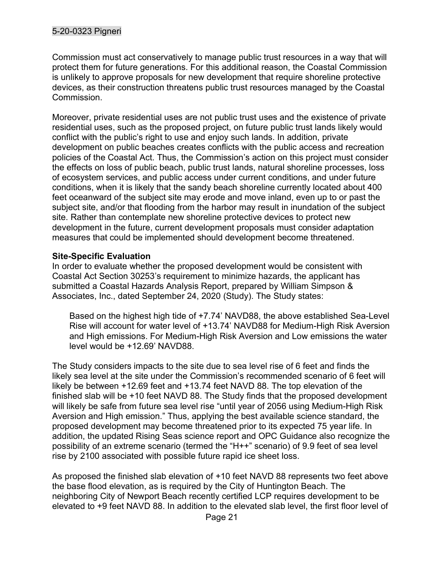Commission must act conservatively to manage public trust resources in a way that will protect them for future generations. For this additional reason, the Coastal Commission is unlikely to approve proposals for new development that require shoreline protective devices, as their construction threatens public trust resources managed by the Coastal Commission.

Moreover, private residential uses are not public trust uses and the existence of private residential uses, such as the proposed project, on future public trust lands likely would conflict with the public's right to use and enjoy such lands. In addition, private development on public beaches creates conflicts with the public access and recreation policies of the Coastal Act. Thus, the Commission's action on this project must consider the effects on loss of public beach, public trust lands, natural shoreline processes, loss of ecosystem services, and public access under current conditions, and under future conditions, when it is likely that the sandy beach shoreline currently located about 400 feet oceanward of the subject site may erode and move inland, even up to or past the subject site, and/or that flooding from the harbor may result in inundation of the subject site. Rather than contemplate new shoreline protective devices to protect new development in the future, current development proposals must consider adaptation measures that could be implemented should development become threatened.

# Site-Specific Evaluation

In order to evaluate whether the proposed development would be consistent with Coastal Act Section 30253's requirement to minimize hazards, the applicant has submitted a Coastal Hazards Analysis Report, prepared by William Simpson & Associates, Inc., dated September 24, 2020 (Study). The Study states:

Based on the highest high tide of +7.74' NAVD88, the above established Sea-Level Rise will account for water level of +13.74' NAVD88 for Medium-High Risk Aversion and High emissions. For Medium-High Risk Aversion and Low emissions the water level would be +12.69' NAVD88.

The Study considers impacts to the site due to sea level rise of 6 feet and finds the likely sea level at the site under the Commission's recommended scenario of 6 feet will likely be between +12.69 feet and +13.74 feet NAVD 88. The top elevation of the finished slab will be +10 feet NAVD 88. The Study finds that the proposed development will likely be safe from future sea level rise "until year of 2056 using Medium-High Risk Aversion and High emission." Thus, applying the best available science standard, the proposed development may become threatened prior to its expected 75 year life. In addition, the updated Rising Seas science report and OPC Guidance also recognize the possibility of an extreme scenario (termed the "H++" scenario) of 9.9 feet of sea level rise by 2100 associated with possible future rapid ice sheet loss.

As proposed the finished slab elevation of +10 feet NAVD 88 represents two feet above the base flood elevation, as is required by the City of Huntington Beach. The neighboring City of Newport Beach recently certified LCP requires development to be elevated to +9 feet NAVD 88. In addition to the elevated slab level, the first floor level of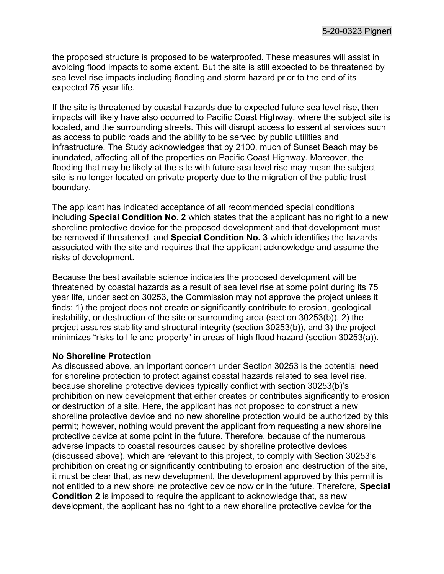the proposed structure is proposed to be waterproofed. These measures will assist in avoiding flood impacts to some extent. But the site is still expected to be threatened by sea level rise impacts including flooding and storm hazard prior to the end of its expected 75 year life.

If the site is threatened by coastal hazards due to expected future sea level rise, then impacts will likely have also occurred to Pacific Coast Highway, where the subject site is located, and the surrounding streets. This will disrupt access to essential services such as access to public roads and the ability to be served by public utilities and infrastructure. The Study acknowledges that by 2100, much of Sunset Beach may be inundated, affecting all of the properties on Pacific Coast Highway. Moreover, the flooding that may be likely at the site with future sea level rise may mean the subject site is no longer located on private property due to the migration of the public trust boundary.

The applicant has indicated acceptance of all recommended special conditions including Special Condition No. 2 which states that the applicant has no right to a new shoreline protective device for the proposed development and that development must be removed if threatened, and Special Condition No. 3 which identifies the hazards associated with the site and requires that the applicant acknowledge and assume the risks of development.

Because the best available science indicates the proposed development will be threatened by coastal hazards as a result of sea level rise at some point during its 75 year life, under section 30253, the Commission may not approve the project unless it finds: 1) the project does not create or significantly contribute to erosion, geological instability, or destruction of the site or surrounding area (section 30253(b)), 2) the project assures stability and structural integrity (section 30253(b)), and 3) the project minimizes "risks to life and property" in areas of high flood hazard (section 30253(a)).

#### No Shoreline Protection

As discussed above, an important concern under Section 30253 is the potential need for shoreline protection to protect against coastal hazards related to sea level rise, because shoreline protective devices typically conflict with section 30253(b)'s prohibition on new development that either creates or contributes significantly to erosion or destruction of a site. Here, the applicant has not proposed to construct a new shoreline protective device and no new shoreline protection would be authorized by this permit; however, nothing would prevent the applicant from requesting a new shoreline protective device at some point in the future. Therefore, because of the numerous adverse impacts to coastal resources caused by shoreline protective devices (discussed above), which are relevant to this project, to comply with Section 30253's prohibition on creating or significantly contributing to erosion and destruction of the site, it must be clear that, as new development, the development approved by this permit is not entitled to a new shoreline protective device now or in the future. Therefore, Special Condition 2 is imposed to require the applicant to acknowledge that, as new development, the applicant has no right to a new shoreline protective device for the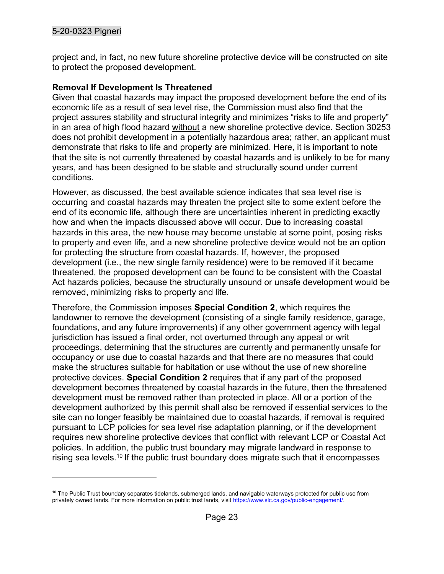project and, in fact, no new future shoreline protective device will be constructed on site to protect the proposed development.

# Removal If Development Is Threatened

Given that coastal hazards may impact the proposed development before the end of its economic life as a result of sea level rise, the Commission must also find that the project assures stability and structural integrity and minimizes "risks to life and property" in an area of high flood hazard without a new shoreline protective device. Section 30253 does not prohibit development in a potentially hazardous area; rather, an applicant must demonstrate that risks to life and property are minimized. Here, it is important to note that the site is not currently threatened by coastal hazards and is unlikely to be for many years, and has been designed to be stable and structurally sound under current conditions.

However, as discussed, the best available science indicates that sea level rise is occurring and coastal hazards may threaten the project site to some extent before the end of its economic life, although there are uncertainties inherent in predicting exactly how and when the impacts discussed above will occur. Due to increasing coastal hazards in this area, the new house may become unstable at some point, posing risks to property and even life, and a new shoreline protective device would not be an option for protecting the structure from coastal hazards. If, however, the proposed development (i.e., the new single family residence) were to be removed if it became threatened, the proposed development can be found to be consistent with the Coastal Act hazards policies, because the structurally unsound or unsafe development would be removed, minimizing risks to property and life.

Therefore, the Commission imposes Special Condition 2, which requires the landowner to remove the development (consisting of a single family residence, garage, foundations, and any future improvements) if any other government agency with legal jurisdiction has issued a final order, not overturned through any appeal or writ proceedings, determining that the structures are currently and permanently unsafe for occupancy or use due to coastal hazards and that there are no measures that could make the structures suitable for habitation or use without the use of new shoreline protective devices. Special Condition 2 requires that if any part of the proposed development becomes threatened by coastal hazards in the future, then the threatened development must be removed rather than protected in place. All or a portion of the development authorized by this permit shall also be removed if essential services to the site can no longer feasibly be maintained due to coastal hazards, if removal is required pursuant to LCP policies for sea level rise adaptation planning, or if the development requires new shoreline protective devices that conflict with relevant LCP or Coastal Act policies. In addition, the public trust boundary may migrate landward in response to rising sea levels.<sup>10</sup> If the public trust boundary does migrate such that it encompasses

 $10$  The Public Trust boundary separates tidelands, submerged lands, and navigable waterways protected for public use from privately owned lands. For more information on public trust lands, visit https://www.slc.ca.gov/public-engagement/.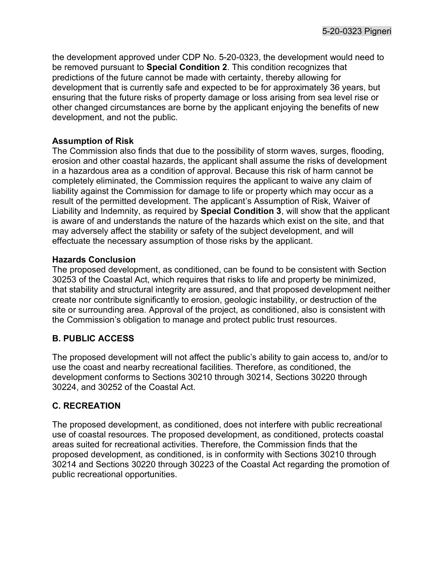the development approved under CDP No. 5-20-0323, the development would need to be removed pursuant to **Special Condition 2**. This condition recognizes that predictions of the future cannot be made with certainty, thereby allowing for development that is currently safe and expected to be for approximately 36 years, but ensuring that the future risks of property damage or loss arising from sea level rise or other changed circumstances are borne by the applicant enjoying the benefits of new development, and not the public.

#### Assumption of Risk

The Commission also finds that due to the possibility of storm waves, surges, flooding, erosion and other coastal hazards, the applicant shall assume the risks of development in a hazardous area as a condition of approval. Because this risk of harm cannot be completely eliminated, the Commission requires the applicant to waive any claim of liability against the Commission for damage to life or property which may occur as a result of the permitted development. The applicant's Assumption of Risk, Waiver of Liability and Indemnity, as required by Special Condition 3, will show that the applicant is aware of and understands the nature of the hazards which exist on the site, and that may adversely affect the stability or safety of the subject development, and will effectuate the necessary assumption of those risks by the applicant.

#### Hazards Conclusion

The proposed development, as conditioned, can be found to be consistent with Section 30253 of the Coastal Act, which requires that risks to life and property be minimized, that stability and structural integrity are assured, and that proposed development neither create nor contribute significantly to erosion, geologic instability, or destruction of the site or surrounding area. Approval of the project, as conditioned, also is consistent with the Commission's obligation to manage and protect public trust resources.

# B. PUBLIC ACCESS

The proposed development will not affect the public's ability to gain access to, and/or to use the coast and nearby recreational facilities. Therefore, as conditioned, the development conforms to Sections 30210 through 30214, Sections 30220 through 30224, and 30252 of the Coastal Act.

# C. RECREATION

The proposed development, as conditioned, does not interfere with public recreational use of coastal resources. The proposed development, as conditioned, protects coastal areas suited for recreational activities. Therefore, the Commission finds that the proposed development, as conditioned, is in conformity with Sections 30210 through 30214 and Sections 30220 through 30223 of the Coastal Act regarding the promotion of public recreational opportunities.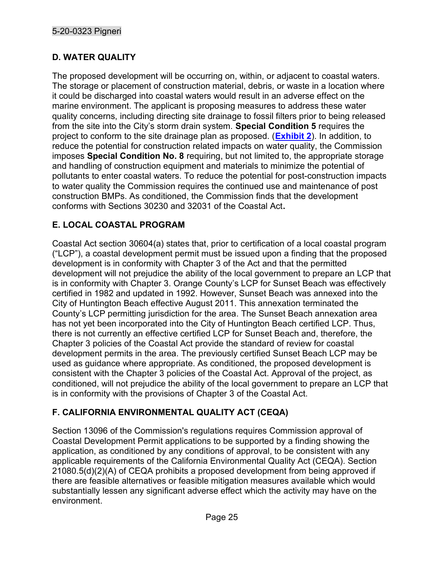# D. WATER QUALITY

The proposed development will be occurring on, within, or adjacent to coastal waters. The storage or placement of construction material, debris, or waste in a location where it could be discharged into coastal waters would result in an adverse effect on the marine environment. The applicant is proposing measures to address these water quality concerns, including directing site drainage to fossil filters prior to being released from the site into the City's storm drain system. Special Condition 5 requires the project to conform to the site drainage plan as proposed. (**Exhibit 2**). In addition, to reduce the potential for construction related impacts on water quality, the Commission imposes Special Condition No. 8 requiring, but not limited to, the appropriate storage and handling of construction equipment and materials to minimize the potential of pollutants to enter coastal waters. To reduce the potential for post-construction impacts to water quality the Commission requires the continued use and maintenance of post construction BMPs. As conditioned, the Commission finds that the development conforms with Sections 30230 and 32031 of the Coastal Act.

# E. LOCAL COASTAL PROGRAM

Coastal Act section 30604(a) states that, prior to certification of a local coastal program ("LCP"), a coastal development permit must be issued upon a finding that the proposed development is in conformity with Chapter 3 of the Act and that the permitted development will not prejudice the ability of the local government to prepare an LCP that is in conformity with Chapter 3. Orange County's LCP for Sunset Beach was effectively certified in 1982 and updated in 1992. However, Sunset Beach was annexed into the City of Huntington Beach effective August 2011. This annexation terminated the County's LCP permitting jurisdiction for the area. The Sunset Beach annexation area has not yet been incorporated into the City of Huntington Beach certified LCP. Thus, there is not currently an effective certified LCP for Sunset Beach and, therefore, the Chapter 3 policies of the Coastal Act provide the standard of review for coastal development permits in the area. The previously certified Sunset Beach LCP may be used as guidance where appropriate. As conditioned, the proposed development is consistent with the Chapter 3 policies of the Coastal Act. Approval of the project, as conditioned, will not prejudice the ability of the local government to prepare an LCP that is in conformity with the provisions of Chapter 3 of the Coastal Act.

# F. CALIFORNIA ENVIRONMENTAL QUALITY ACT (CEQA)

Section 13096 of the Commission's regulations requires Commission approval of Coastal Development Permit applications to be supported by a finding showing the application, as conditioned by any conditions of approval, to be consistent with any applicable requirements of the California Environmental Quality Act (CEQA). Section 21080.5(d)(2)(A) of CEQA prohibits a proposed development from being approved if there are feasible alternatives or feasible mitigation measures available which would substantially lessen any significant adverse effect which the activity may have on the environment.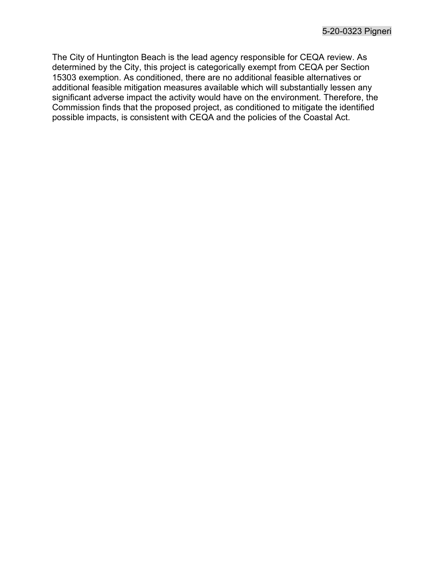The City of Huntington Beach is the lead agency responsible for CEQA review. As determined by the City, this project is categorically exempt from CEQA per Section 15303 exemption. As conditioned, there are no additional feasible alternatives or additional feasible mitigation measures available which will substantially lessen any significant adverse impact the activity would have on the environment. Therefore, the Commission finds that the proposed project, as conditioned to mitigate the identified possible impacts, is consistent with CEQA and the policies of the Coastal Act.